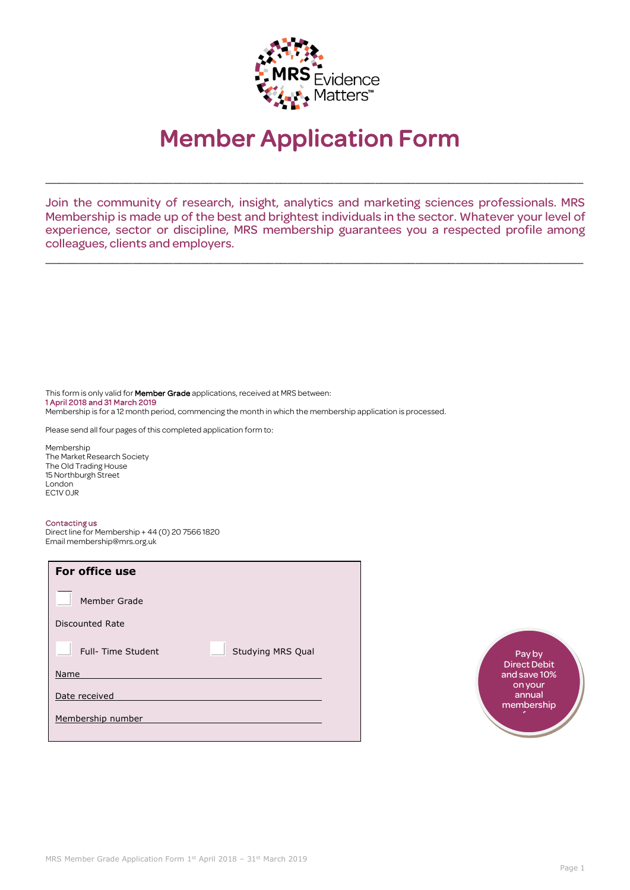

# Member Application Form

Join the community of research, insight, analytics and marketing sciences professionals. MRS Membership is made up of the best and brightest individuals in the sector. Whatever your level of experience, sector or discipline, MRS membership guarantees you a respected profile among colleagues, clients and employers.

\_\_\_\_\_\_\_\_\_\_\_\_\_\_\_\_\_\_\_\_\_\_\_\_\_\_\_\_\_\_\_\_\_\_\_\_\_\_\_\_\_\_\_\_\_\_\_\_\_\_\_\_\_\_\_\_\_\_\_\_\_\_\_\_\_\_\_\_\_\_\_\_\_\_\_\_\_\_\_\_

\_\_\_\_\_\_\_\_\_\_\_\_\_\_\_\_\_\_\_\_\_\_\_\_\_\_\_\_\_\_\_\_\_\_\_\_\_\_\_\_\_\_\_\_\_\_\_\_\_\_\_\_\_\_\_\_\_\_\_\_\_\_\_\_\_\_\_\_\_\_\_\_\_\_\_\_\_\_\_\_

This form is only valid for **Member Grade** applications, received at MRS between: 1 April 2018 and 31 March 2019 Membership is for a 12 month period, commencing the month in which the membership application is processed.

Please send all four pages of this completed application form to:

Membership The Market Research Society The Old Trading House 15 Northburgh Street London EC1V 0JR

#### Contacting us

Direct line for Membership + 44 (0) 20 7566 1820 Email membership@mrs.org.uk

| For office use     |                   |
|--------------------|-------------------|
| Member Grade       |                   |
| Discounted Rate    |                   |
| Full- Time Student | Studying MRS Qual |
| Name               |                   |
| Date received      |                   |
| Membership number  |                   |
|                    |                   |

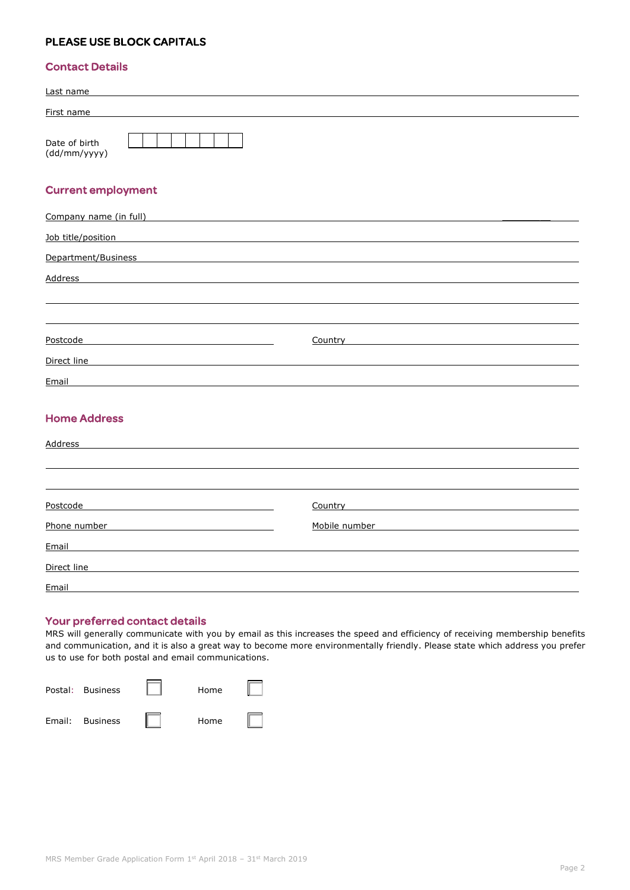# PLEASE USE BLOCK CAPITALS

## Contact Details

| Last name                     |  |  |
|-------------------------------|--|--|
| First name                    |  |  |
| Date of birth<br>(dd/mm/yyyy) |  |  |

## Current employment

| Company name (in full) |         |
|------------------------|---------|
| Job title/position     |         |
| Department/Business    |         |
| Address                |         |
|                        |         |
|                        |         |
| Postcode               | Country |
| Direct line            |         |
| Email                  |         |
|                        |         |
| <b>Home Address</b>    |         |
| <b>Address</b>         |         |
|                        |         |
|                        |         |

| Postcode     | Country<br><u> 1989 - John Stein, mars and de final and de final and de final and de final and de final and de final and de</u> |
|--------------|---------------------------------------------------------------------------------------------------------------------------------|
| Phone number | Mobile number<br><u> 1980 - Jan Barnett, amerikansk politik (</u>                                                               |
| Email        |                                                                                                                                 |
| Direct line  |                                                                                                                                 |
| Email        |                                                                                                                                 |

## Your preferred contact details

MRS will generally communicate with you by email as this increases the speed and efficiency of receiving membership benefits and communication, and it is also a great way to become more environmentally friendly. Please state which address you prefer us to use for both postal and email communications.

| Postal: Business | Home |  |
|------------------|------|--|
| Email: Business  | Home |  |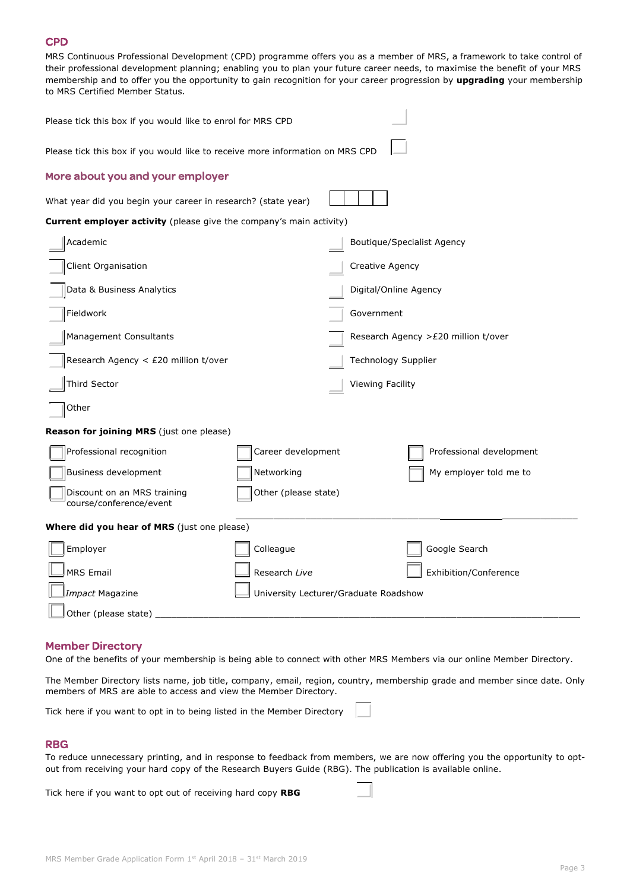## **CPD**

MRS Continuous Professional Development (CPD) programme offers you as a member of MRS, a framework to take control of their professional development planning; enabling you to plan your future career needs, to maximise the benefit of your MRS membership and to offer you the opportunity to gain recognition for your career progression by **upgrading** your membership to MRS Certified Member Status.

| Please tick this box if you would like to enrol for MRS CPD                   |                                                               |                            |                                      |  |  |
|-------------------------------------------------------------------------------|---------------------------------------------------------------|----------------------------|--------------------------------------|--|--|
| Please tick this box if you would like to receive more information on MRS CPD |                                                               |                            |                                      |  |  |
| More about you and your employer                                              |                                                               |                            |                                      |  |  |
|                                                                               | What year did you begin your career in research? (state year) |                            |                                      |  |  |
| <b>Current employer activity</b> (please give the company's main activity)    |                                                               |                            |                                      |  |  |
| Academic                                                                      |                                                               |                            | <b>Boutique/Specialist Agency</b>    |  |  |
| Client Organisation                                                           |                                                               | Creative Agency            |                                      |  |  |
| Data & Business Analytics                                                     |                                                               | Digital/Online Agency      |                                      |  |  |
| Fieldwork                                                                     |                                                               | Government                 |                                      |  |  |
| Management Consultants                                                        |                                                               |                            | Research Agency > £20 million t/over |  |  |
| Research Agency < £20 million t/over                                          |                                                               | <b>Technology Supplier</b> |                                      |  |  |
| Third Sector                                                                  |                                                               | Viewing Facility           |                                      |  |  |
| Other                                                                         |                                                               |                            |                                      |  |  |
| Reason for joining MRS (just one please)                                      |                                                               |                            |                                      |  |  |
| Professional recognition                                                      | Career development                                            |                            | Professional development             |  |  |
| Business development                                                          | Networking                                                    |                            | My employer told me to               |  |  |
| Discount on an MRS training<br>course/conference/event                        | Other (please state)                                          |                            |                                      |  |  |
| <b>Where did you hear of MRS</b> (just one please)                            |                                                               |                            |                                      |  |  |
| Employer                                                                      | Colleague                                                     |                            | Google Search                        |  |  |
| <b>MRS Email</b>                                                              | Research Live                                                 |                            | Exhibition/Conference                |  |  |
| Impact Magazine                                                               | University Lecturer/Graduate Roadshow                         |                            |                                      |  |  |
| Other (please state)                                                          |                                                               |                            |                                      |  |  |

#### Member Directory

One of the benefits of your membership is being able to connect with other MRS Members via our online Member Directory.

The Member Directory lists name, job title, company, email, region, country, membership grade and member since date. Only members of MRS are able to access and view the Member Directory.

Tick here if you want to opt in to being listed in the Member Directory

#### RBG

To reduce unnecessary printing, and in response to feedback from members, we are now offering you the opportunity to optout from receiving your hard copy of the Research Buyers Guide (RBG). The publication is available online.

Tick here if you want to opt out of receiving hard copy **RBG**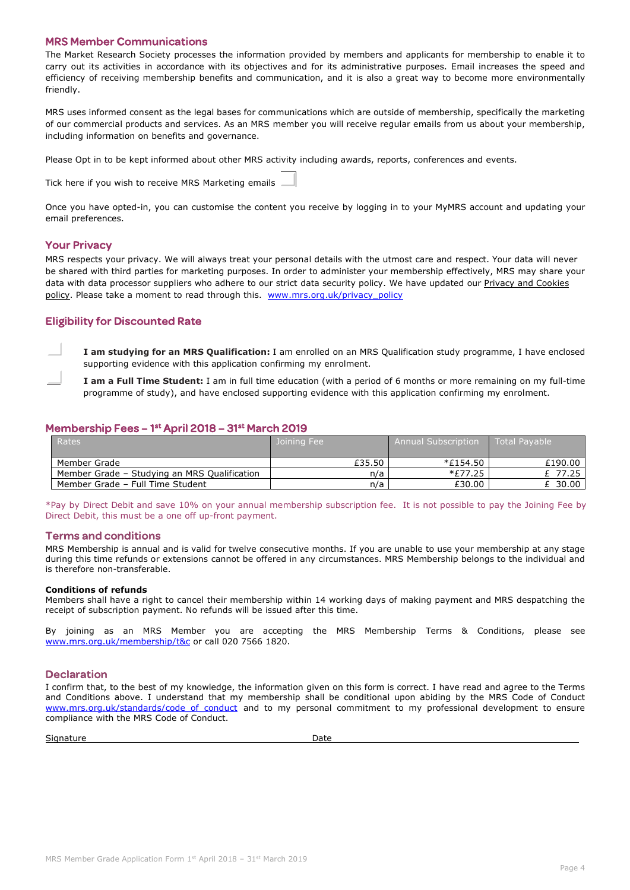## MRS Member Communications

The Market Research Society processes the information provided by members and applicants for membership to enable it to carry out its activities in accordance with its objectives and for its administrative purposes. Email increases the speed and efficiency of receiving membership benefits and communication, and it is also a great way to become more environmentally friendly.

MRS uses informed consent as the legal bases for communications which are outside of membership, specifically the marketing of our commercial products and services. As an MRS member you will receive regular emails from us about your membership, including information on benefits and governance.

Please Opt in to be kept informed about other MRS activity including awards, reports, conferences and events.

Tick here if you wish to receive MRS Marketing emails

Once you have opted-in, you can customise the content you receive by logging in to your MyMRS account and updating your email preferences.

## Your Privacy

MRS respects your privacy. We will always treat your personal details with the utmost care and respect. Your data will never be shared with third parties for marketing purposes. In order to administer your membership effectively, MRS may share your data with data processor suppliers who adhere to our strict data security policy. We have updated our Privacy and Cookies [policy.](http://mrs.informz.net/z/cjUucD9taT02ODU2MzYyJnA9MSZ1PTg1MDQ3MTM3MSZsaT01MDk0MjMwOQ/index.html) Please take a moment to read through this. [www.mrs.org.uk/privacy\\_policy](http://www.mrs.org.uk/privacy_policy)

## Eligibility for Discounted Rate

**I am studying for an MRS Qualification:** I am enrolled on an MRS Qualification study programme, I have enclosed supporting evidence with this application confirming my enrolment.

**I am a Full Time Student:** I am in full time education (with a period of 6 months or more remaining on my full-time programme of study), and have enclosed supporting evidence with this application confirming my enrolment.

## Membership Fees – 1st April 2018 – 31st March 2019

| Rates                                        | Joining Fee | <b>Annual Subscription</b> | Total Pavable |
|----------------------------------------------|-------------|----------------------------|---------------|
| Member Grade                                 | £35.50      | <i>*£</i> 154.50           | £190.00       |
| Member Grade - Studying an MRS Qualification | n/a         | *£77.25                    | £ 77.25       |
| Member Grade - Full Time Student             | n/a         | £30.00                     | 30.00         |

\*Pay by Direct Debit and save 10% on your annual membership subscription fee. It is not possible to pay the Joining Fee by Direct Debit, this must be a one off up-front payment.

#### Terms and conditions

MRS Membership is annual and is valid for twelve consecutive months. If you are unable to use your membership at any stage during this time refunds or extensions cannot be offered in any circumstances. MRS Membership belongs to the individual and is therefore non-transferable.

#### **Conditions of refunds**

Members shall have a right to cancel their membership within 14 working days of making payment and MRS despatching the receipt of subscription payment. No refunds will be issued after this time.

By joining as an MRS Member you are accepting the MRS Membership Terms & Conditions, please see [www.mrs.org.uk/membership/t&c](http://www.mrs.org.uk/membership/t&c) or call 020 7566 1820.

#### **Declaration**

I confirm that, to the best of my knowledge, the information given on this form is correct. I have read and agree to the Terms and Conditions above. I understand that my membership shall be conditional upon abiding by the MRS Code of Conduct www.mrs.org.uk/standards/code of conduct and to my personal commitment to my professional development to ensure compliance with the MRS Code of Conduct.

Signature Date